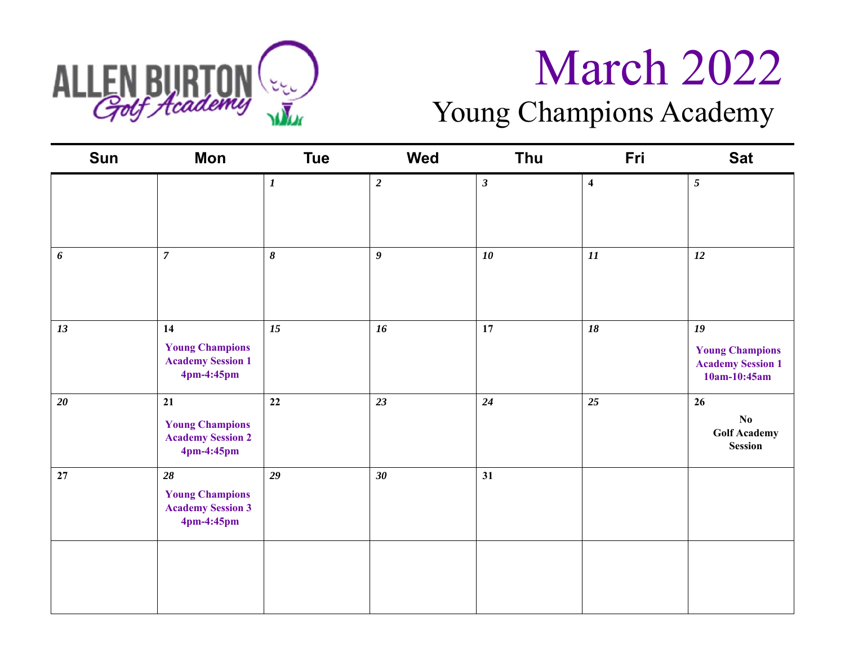

### Young Champions Academy

| Sun                   | Mon                                                                    | <b>Tue</b>       | Wed                     | Thu          | Fri                     | <b>Sat</b>                                                               |
|-----------------------|------------------------------------------------------------------------|------------------|-------------------------|--------------|-------------------------|--------------------------------------------------------------------------|
|                       |                                                                        | $\boldsymbol{l}$ | $\overline{\mathbf{2}}$ | $\mathbf{3}$ | $\overline{\mathbf{4}}$ | $5\overline{)}$                                                          |
| $\boldsymbol{\delta}$ | $\overline{7}$                                                         | $\pmb{8}$        | $\boldsymbol{g}$        | 10           | 11                      | 12                                                                       |
| 13                    | 14<br><b>Young Champions</b><br><b>Academy Session 1</b><br>4pm-4:45pm | 15               | 16                      | 17           | 18                      | 19<br><b>Young Champions</b><br><b>Academy Session 1</b><br>10am-10:45am |
| $20\,$                | 21<br><b>Young Champions</b><br><b>Academy Session 2</b><br>4pm-4:45pm | 22               | 23                      | 24           | 25                      | 26<br>$\mathbf{N}\mathbf{0}$<br><b>Golf Academy</b><br>Session           |
| 27                    | 28<br><b>Young Champions</b><br><b>Academy Session 3</b><br>4pm-4:45pm | 29               | 30                      | 31           |                         |                                                                          |
|                       |                                                                        |                  |                         |              |                         |                                                                          |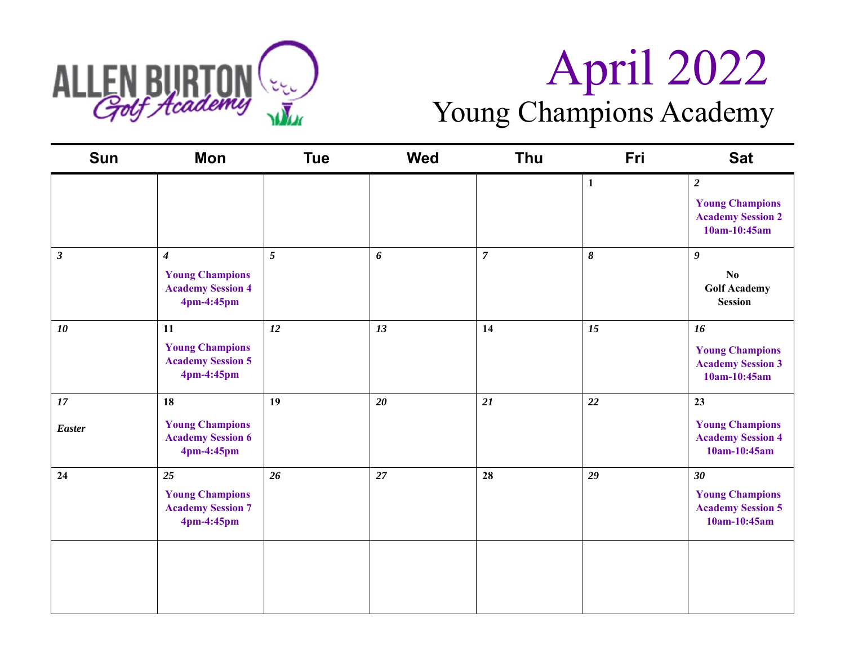

# ALLEN BURTON (EL.)<br>  $\overline{G_{off}H_{cademy}}$   $\overline{M_{up}}$  Young Champions Academy Young Champions Academy

| <b>Sun</b>              | <b>Mon</b>                                                                           | <b>Tue</b> | <b>Wed</b> | <b>Thu</b>     | Fri          | <b>Sat</b>                                                                             |
|-------------------------|--------------------------------------------------------------------------------------|------------|------------|----------------|--------------|----------------------------------------------------------------------------------------|
|                         |                                                                                      |            |            |                | $\mathbf{1}$ | $\boldsymbol{2}$<br><b>Young Champions</b><br><b>Academy Session 2</b><br>10am-10:45am |
| $\mathfrak{z}$          | $\boldsymbol{4}$<br><b>Young Champions</b><br><b>Academy Session 4</b><br>4pm-4:45pm | 5          | 6          | $\overline{7}$ | $\pmb{8}$    | 9<br>No<br><b>Golf Academy</b><br><b>Session</b>                                       |
| 10                      | 11<br><b>Young Champions</b><br><b>Academy Session 5</b><br>4pm-4:45pm               | 12         | 13         | 14             | 15           | 16<br><b>Young Champions</b><br><b>Academy Session 3</b><br>10am-10:45am               |
| $17\,$<br><b>Easter</b> | 18<br><b>Young Champions</b><br><b>Academy Session 6</b><br>4pm-4:45pm               | 19         | 20         | 21             | 22           | 23<br><b>Young Champions</b><br><b>Academy Session 4</b><br>10am-10:45am               |
| 24                      | 25<br><b>Young Champions</b><br><b>Academy Session 7</b><br>4pm-4:45pm               | 26         | 27         | 28             | 29           | $30\,$<br><b>Young Champions</b><br><b>Academy Session 5</b><br>10am-10:45am           |
|                         |                                                                                      |            |            |                |              |                                                                                        |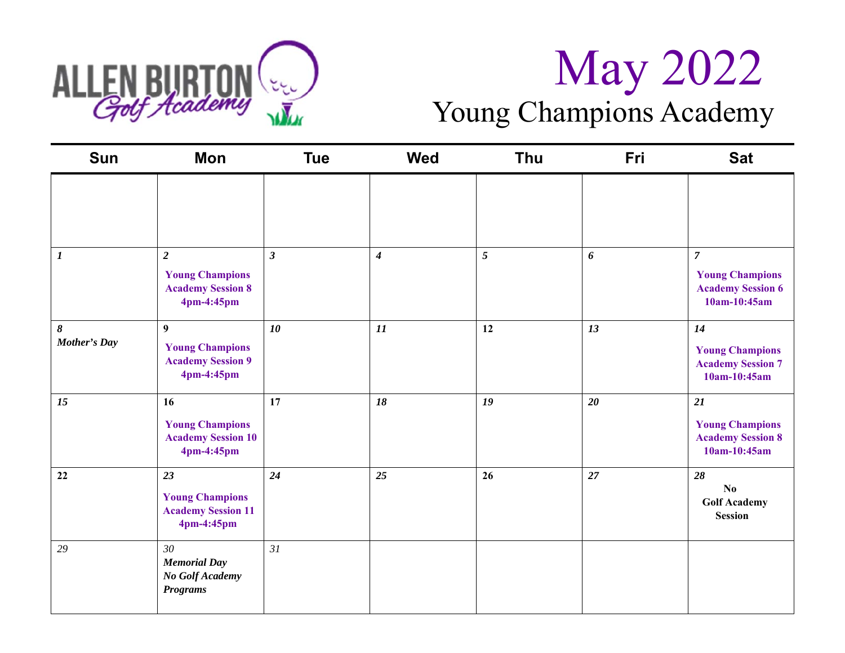

# ALLEN BURTON ( $\frac{1}{2}$  May 2022 Young Champions Academy

| <b>Sun</b>        | <b>Mon</b>                                                                           | <b>Tue</b>     | <b>Wed</b>       | <b>Thu</b>     | Fri                   | <b>Sat</b>                                                                           |
|-------------------|--------------------------------------------------------------------------------------|----------------|------------------|----------------|-----------------------|--------------------------------------------------------------------------------------|
|                   |                                                                                      |                |                  |                |                       |                                                                                      |
| $\boldsymbol{l}$  | $\overline{2}$<br><b>Young Champions</b><br><b>Academy Session 8</b><br>4pm-4:45pm   | $\mathfrak{z}$ | $\boldsymbol{4}$ | $\mathfrak{S}$ | $\boldsymbol{\delta}$ | $\overline{7}$<br><b>Young Champions</b><br><b>Academy Session 6</b><br>10am-10:45am |
| 8<br>Mother's Day | $\boldsymbol{9}$<br><b>Young Champions</b><br><b>Academy Session 9</b><br>4pm-4:45pm | 10             | 11               | 12             | 13                    | 14<br><b>Young Champions</b><br><b>Academy Session 7</b><br>10am-10:45am             |
| 15                | 16<br><b>Young Champions</b><br><b>Academy Session 10</b><br>4pm-4:45pm              | 17             | 18               | 19             | 20                    | 21<br><b>Young Champions</b><br><b>Academy Session 8</b><br>10am-10:45am             |
| 22                | 23<br><b>Young Champions</b><br><b>Academy Session 11</b><br>4pm-4:45pm              | 24             | 25               | 26             | 27                    | 28<br>No<br><b>Golf Academy</b><br><b>Session</b>                                    |
| 29                | 30<br><b>Memorial Day</b><br>No Golf Academy<br><b>Programs</b>                      | 31             |                  |                |                       |                                                                                      |